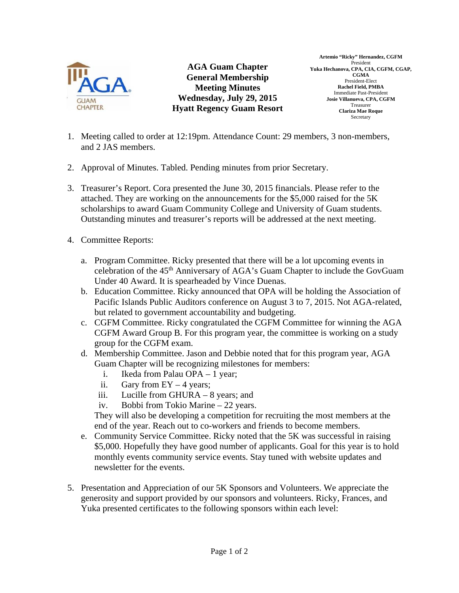

**AGA Guam Chapter General Membership Meeting Minutes Wednesday, July 29, 2015 Hyatt Regency Guam Resort** 

**Artemio "Ricky" Hernandez, CGFM**  President **Yuka Hechanova, CPA, CIA, CGFM, CGAP, CGMA**  President-Elect **Rachel Field, PMBA**  Immediate Past-President **Josie Villanueva, CPA, CGFM**  Treasurer **Clariza Mae Roque**  Secretary

- 1. Meeting called to order at 12:19pm. Attendance Count: 29 members, 3 non-members, and 2 JAS members.
- 2. Approval of Minutes. Tabled. Pending minutes from prior Secretary.
- 3. Treasurer's Report. Cora presented the June 30, 2015 financials. Please refer to the attached. They are working on the announcements for the \$5,000 raised for the 5K scholarships to award Guam Community College and University of Guam students. Outstanding minutes and treasurer's reports will be addressed at the next meeting.
- 4. Committee Reports:
	- a. Program Committee. Ricky presented that there will be a lot upcoming events in celebration of the 45th Anniversary of AGA's Guam Chapter to include the GovGuam Under 40 Award. It is spearheaded by Vince Duenas.
	- b. Education Committee. Ricky announced that OPA will be holding the Association of Pacific Islands Public Auditors conference on August 3 to 7, 2015. Not AGA-related, but related to government accountability and budgeting.
	- c. CGFM Committee. Ricky congratulated the CGFM Committee for winning the AGA CGFM Award Group B. For this program year, the committee is working on a study group for the CGFM exam.
	- d. Membership Committee. Jason and Debbie noted that for this program year, AGA Guam Chapter will be recognizing milestones for members:
		- i. Ikeda from Palau OPA 1 year;
		- ii. Gary from  $EY 4$  years;
		- iii. Lucille from GHURA 8 years; and
		- iv. Bobbi from Tokio Marine 22 years.

They will also be developing a competition for recruiting the most members at the end of the year. Reach out to co-workers and friends to become members.

- e. Community Service Committee. Ricky noted that the 5K was successful in raising \$5,000. Hopefully they have good number of applicants. Goal for this year is to hold monthly events community service events. Stay tuned with website updates and newsletter for the events.
- 5. Presentation and Appreciation of our 5K Sponsors and Volunteers. We appreciate the generosity and support provided by our sponsors and volunteers. Ricky, Frances, and Yuka presented certificates to the following sponsors within each level: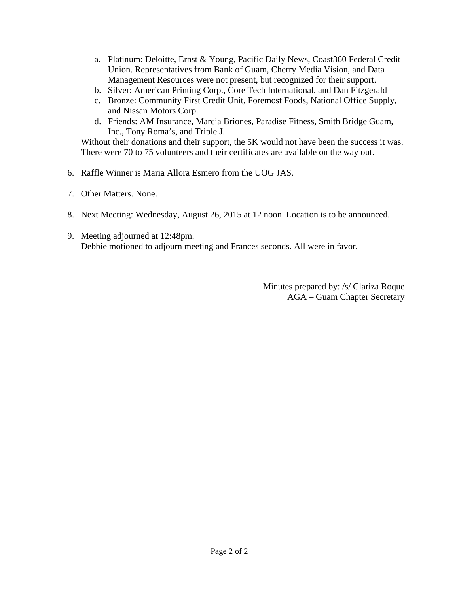- a. Platinum: Deloitte, Ernst & Young, Pacific Daily News, Coast360 Federal Credit Union. Representatives from Bank of Guam, Cherry Media Vision, and Data Management Resources were not present, but recognized for their support.
- b. Silver: American Printing Corp., Core Tech International, and Dan Fitzgerald
- c. Bronze: Community First Credit Unit, Foremost Foods, National Office Supply, and Nissan Motors Corp.
- d. Friends: AM Insurance, Marcia Briones, Paradise Fitness, Smith Bridge Guam, Inc., Tony Roma's, and Triple J.

Without their donations and their support, the 5K would not have been the success it was. There were 70 to 75 volunteers and their certificates are available on the way out.

- 6. Raffle Winner is Maria Allora Esmero from the UOG JAS.
- 7. Other Matters. None.
- 8. Next Meeting: Wednesday, August 26, 2015 at 12 noon. Location is to be announced.
- 9. Meeting adjourned at 12:48pm. Debbie motioned to adjourn meeting and Frances seconds. All were in favor.

Minutes prepared by: /s/ Clariza Roque AGA – Guam Chapter Secretary